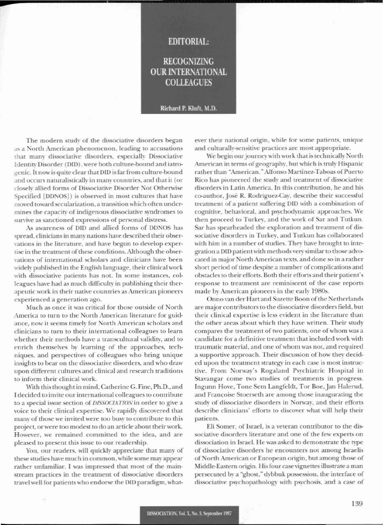## **EDITORIAL:**

**RECOGNIZING OUR INTERNATIONAL COLLEAGUES** 

## Richard P. Kluft, M.D.

The modern study of the dissociative disorders began as a North American phenomenon, leading to accusations that many dissociative disorders, especially Dissociative Identity Disorder (DID), were both culture-bound and iatrogenic. It now is quite clear that DID is far from culture-bound and occurs naturalistically in many countries, and that it (or closely allied forms of Dissociative Disorder Not Otherwise Specified [DDNOS]) is observed in most cultures that have moved toward secularization, a transition which often undermines the capacity of indigenous dissociative syndromes to survive as sanctioned expressions of personal distress.

As awareness of DID and allied forms of DDNOS has spread, clinicians in many nations have described their observations in the literature, and have begun to develop expertise in the treatment of these conditions. Although the observations of international scholars and clinicians have been widely published in the English language, their clinical work with dissociative patients has not. In some instances, colleagues have had as much difficulty in publishing their therapeutic work in their native countries as American pioneers experienced a generation ago.

Much as once it was critical for those outside of North America to turn to the North American literature for guidance, now it seems timely for North American scholars and clinicians to turn to their international colleagues to learn whether their methods have a transcultural validity, and to enrich themselves by learning of the approaches, techniques, and perspectives of colleagues who bring unique insights to bear on the dissociative disorders, and who draw upon different cultures and clinical and research traditions to inform their clinical work.

With this thought in mind, Catherine G. Fine, Ph.D., and I decided to invite our international colleagues to contribute to a special issue section of DISSOCIATION in order to give a voice to their clinical expertise. We rapidly discovered that many of those we invited were too busy to contribute to this project, or were too modest to do an article about their work. However, we remained committed to the idea, and are pleased to present this issue to our readership.

You, our readers, will quickly appreciate that many of these studies have much in common, while some may appear rather unfamiliar. I was impressed that most of the mainstream practices in the treatment of dissociative disorders travel well for patients who endorse the DID paradigm, whatever their national origin, while for some patients, unique and culturally-sensitive practices are most appropriate.

We begin our journey with work that is technically North American in terms of geography, but which is truly Hispanic rather than "American." Alfonso Martínez-Taboas of Puerto Rico has pioneered the study and treatment of dissociative disorders in Latin America. In this contribution, he and his co-author, José R. Rodriguez-Cav, describe their successful treatment of a patient suffering DID with a combination of cognitive, behavioral, and psychodynamic approaches. We then proceed to Turkey, and the work of Sar and Tutkun. Sar has spearheaded the exploration and treatment of dissociative disorders in Turkey, and Tutkun has collaborated with him in a number of studies. They have brought to integration a DID patient with methods very similar to those advocated in major North American texts, and done so in a rather short period of time despite a number of complications and obstacles to their efforts. Both their efforts and their patient's response to treatment are reminiscent of the case reports made by American pioneers in the early 1980s.

Onno van der Hart and Suzette Boon of the Netherlands are major contributors to the dissociative disorders field, but their clinical expertise is less evident in the literature than the other areas about which they have written. Their study compares the treatment of two patients, one of whom was a candidate for a definitive treatment that included work with traumatic material, and one of whom was not, and required a supportive approach. Their discussion of how they decided upon the treatment strategy in each case is most instructive. From Norway's Rogaland Psychiatric Hospital in Stavangar come two studies of treatments in progress. Ingunn Hove, Tone Sem Langfeldt, Tor Boe, Jan Halerud, and Francoise Stoerseth are among those inaugurating the study of dissociative disorders in Norway, and their efforts describe clinicians' efforts to discover what will help their patients.

Eli Somer, of Israel, is a veteran contributor to the dissociative disorders literature and one of the few experts on dissociation in Israel. He was asked to demonstrate the type of dissociative disorders he encounters not among Israelis of North American or European origin, but among those of Middle-Eastern origin. His four case vignettes illustrate a man persecuted by a "ghost," dybbuk possession, the interface of dissociative psychopathology with psychosis, and a case of